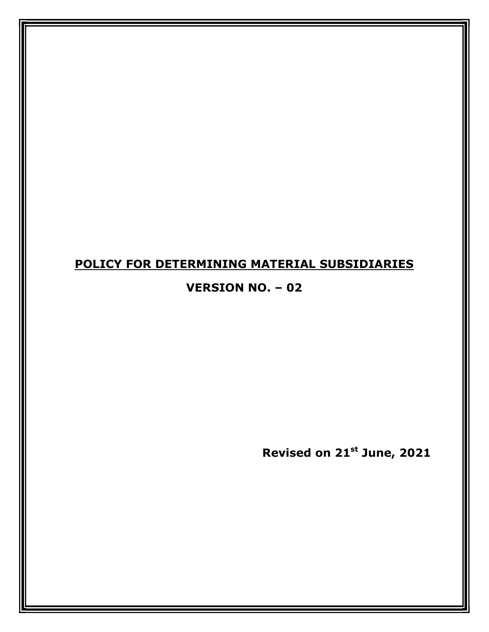## POLICY FOR DETERMINING MATERIAL SUBSIDIARIES

### VERSION NO. – 02

Revised on 21st June, 2021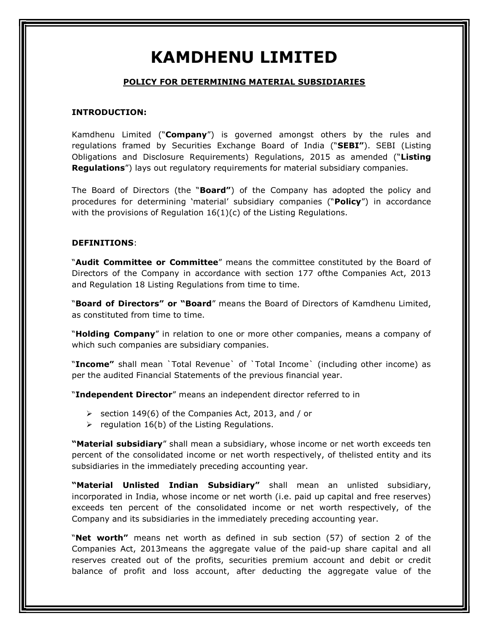# KAMDHENU LIMITED

#### POLICY FOR DETERMINING MATERIAL SUBSIDIARIES

#### INTRODUCTION:

Kamdhenu Limited ("Company") is governed amongst others by the rules and regulations framed by Securities Exchange Board of India ("**SEBI"**). SEBI (Listing Obligations and Disclosure Requirements) Regulations, 2015 as amended ("Listing **Regulations**") lays out regulatory requirements for material subsidiary companies.

The Board of Directors (the "**Board"**) of the Company has adopted the policy and procedures for determining 'material' subsidiary companies ("Policy") in accordance with the provisions of Regulation 16(1)(c) of the Listing Regulations.

#### DEFINITIONS:

"Audit Committee or Committee" means the committee constituted by the Board of Directors of the Company in accordance with section 177 ofthe Companies Act, 2013 and Regulation 18 Listing Regulations from time to time.

"Board of Directors" or "Board" means the Board of Directors of Kamdhenu Limited, as constituted from time to time.

"Holding Company" in relation to one or more other companies, means a company of which such companies are subsidiary companies.

"Income" shall mean `Total Revenue` of `Total Income` (including other income) as per the audited Financial Statements of the previous financial year.

"Independent Director" means an independent director referred to in

- $\ge$  section 149(6) of the Companies Act, 2013, and / or
- $\triangleright$  regulation 16(b) of the Listing Regulations.

"Material subsidiary" shall mean a subsidiary, whose income or net worth exceeds ten percent of the consolidated income or net worth respectively, of thelisted entity and its subsidiaries in the immediately preceding accounting year.

"Material Unlisted Indian Subsidiary" shall mean an unlisted subsidiary, incorporated in India, whose income or net worth (i.e. paid up capital and free reserves) exceeds ten percent of the consolidated income or net worth respectively, of the Company and its subsidiaries in the immediately preceding accounting year.

"**Net worth**" means net worth as defined in sub section (57) of section 2 of the Companies Act, 2013means the aggregate value of the paid-up share capital and all reserves created out of the profits, securities premium account and debit or credit balance of profit and loss account, after deducting the aggregate value of the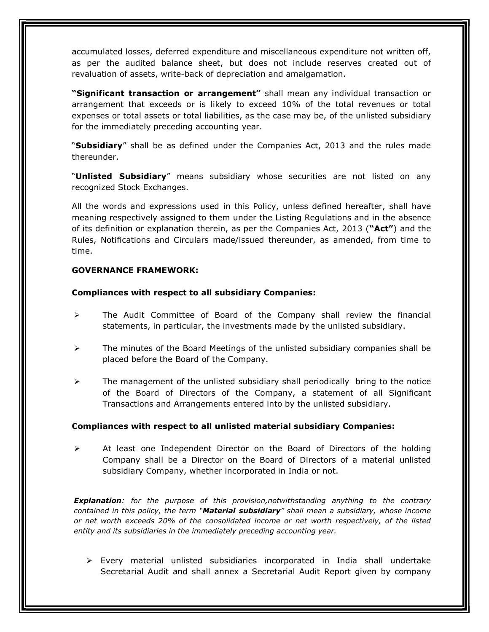accumulated losses, deferred expenditure and miscellaneous expenditure not written off, as per the audited balance sheet, but does not include reserves created out of revaluation of assets, write-back of depreciation and amalgamation.

"Significant transaction or arrangement" shall mean any individual transaction or arrangement that exceeds or is likely to exceed 10% of the total revenues or total expenses or total assets or total liabilities, as the case may be, of the unlisted subsidiary for the immediately preceding accounting year.

"Subsidiary" shall be as defined under the Companies Act, 2013 and the rules made thereunder.

"**Unlisted Subsidiary**" means subsidiary whose securities are not listed on any recognized Stock Exchanges.

All the words and expressions used in this Policy, unless defined hereafter, shall have meaning respectively assigned to them under the Listing Regulations and in the absence of its definition or explanation therein, as per the Companies Act, 2013 ( $"Act"$ ) and the Rules, Notifications and Circulars made/issued thereunder, as amended, from time to time.

#### GOVERNANCE FRAMEWORK:

#### Compliances with respect to all subsidiary Companies:

- $\triangleright$  The Audit Committee of Board of the Company shall review the financial statements, in particular, the investments made by the unlisted subsidiary.
- $\triangleright$  The minutes of the Board Meetings of the unlisted subsidiary companies shall be placed before the Board of the Company.
- $\triangleright$  The management of the unlisted subsidiary shall periodically bring to the notice of the Board of Directors of the Company, a statement of all Significant Transactions and Arrangements entered into by the unlisted subsidiary.

#### Compliances with respect to all unlisted material subsidiary Companies:

 $\triangleright$  At least one Independent Director on the Board of Directors of the holding Company shall be a Director on the Board of Directors of a material unlisted subsidiary Company, whether incorporated in India or not.

**Explanation**: for the purpose of this provision, notwithstanding anything to the contrary contained in this policy, the term "Material subsidiary" shall mean a subsidiary, whose income or net worth exceeds 20% of the consolidated income or net worth respectively, of the listed entity and its subsidiaries in the immediately preceding accounting year.

 $\triangleright$  Every material unlisted subsidiaries incorporated in India shall undertake Secretarial Audit and shall annex a Secretarial Audit Report given by company